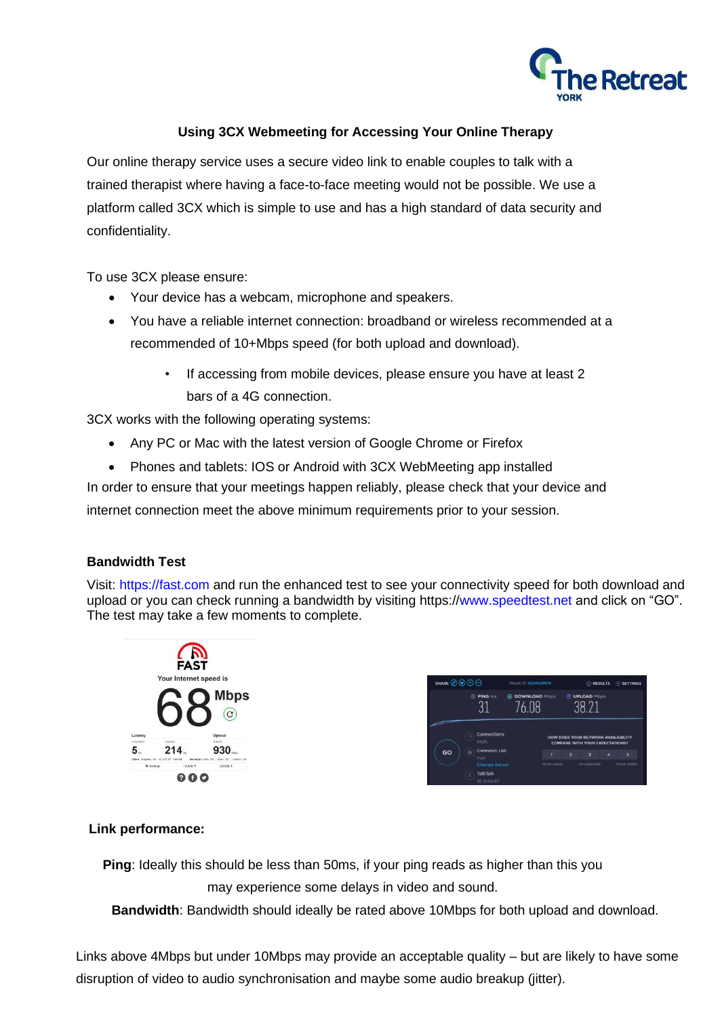

### **Using 3CX Webmeeting for Accessing Your Online Therapy**

Our online therapy service uses a secure video link to enable couples to talk with a trained therapist where having a face-to-face meeting would not be possible. We use a platform called 3CX which is simple to use and has a high standard of data security and confidentiality.

To use 3CX please ensure:

- Your device has a webcam, microphone and speakers.
- You have a reliable internet connection: broadband or wireless recommended at a recommended of 10+Mbps speed (for both upload and download).
	- If accessing from mobile devices, please ensure you have at least 2 bars of a 4G connection.

3CX works with the following operating systems:

- Any PC or Mac with the latest version of Google Chrome or Firefox
- Phones and tablets: IOS or Android with 3CX WebMeeting app installed

In order to ensure that your meetings happen reliably, please check that your device and internet connection meet the above minimum requirements prior to your session.

#### **Bandwidth Test**

Visit: [https://fast.com](https://fast.com/) and run the enhanced test to see your connectivity speed for both download and upload or you can check running a bandwidth by visiting https://www.speedtest.net and click on "GO". The test may take a few moments to complete.





#### **Link performance:**

**Ping**: Ideally this should be less than 50ms, if your ping reads as higher than this you may experience some delays in video and sound.

**Bandwidth**: Bandwidth should ideally be rated above 10Mbps for both upload and download.

Links above 4Mbps but under 10Mbps may provide an acceptable quality – but are likely to have some disruption of video to audio synchronisation and maybe some audio breakup (jitter).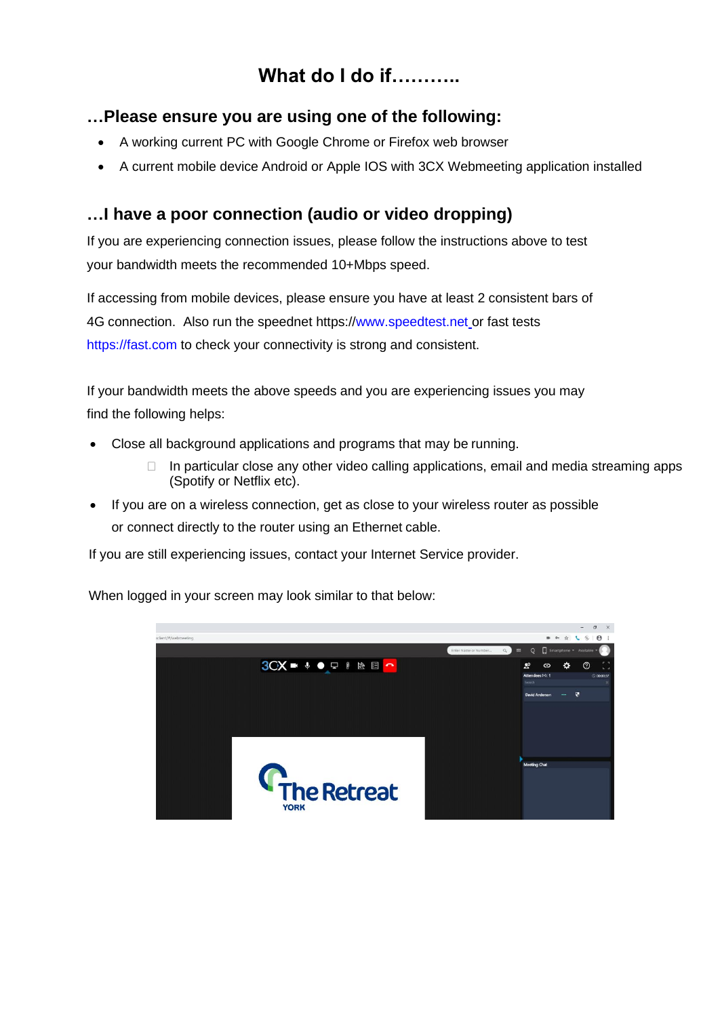# **What do I do if………..**

### **…Please ensure you are using one of the following:**

- A working current PC with Google Chrome or Firefox web browser
- A current mobile device Android or Apple IOS with 3CX Webmeeting application installed

## **…I have a poor connection (audio or video dropping)**

If you are experiencing connection issues, please follow the instructions above to test your bandwidth meets the recommended 10+Mbps speed.

If accessing from mobile devices, please ensure you have at least 2 consistent bars of 4G connection. Also run the speednet https:/[/www.speedtest.net](http://www.speedtest.net/) or fast tests [https://fast.com](https://fast.com/) to check your connectivity is strong and consistent.

If your bandwidth meets the above speeds and you are experiencing issues you may find the following helps:

- Close all background applications and programs that may be running.
	- □ In particular close any other video calling applications, email and media streaming apps (Spotify or Netflix etc).
- If you are on a wireless connection, get as close to your wireless router as possible or connect directly to the router using an Ethernet cable.

If you are still experiencing issues, contact your Internet Service provider.



When logged in your screen may look similar to that below: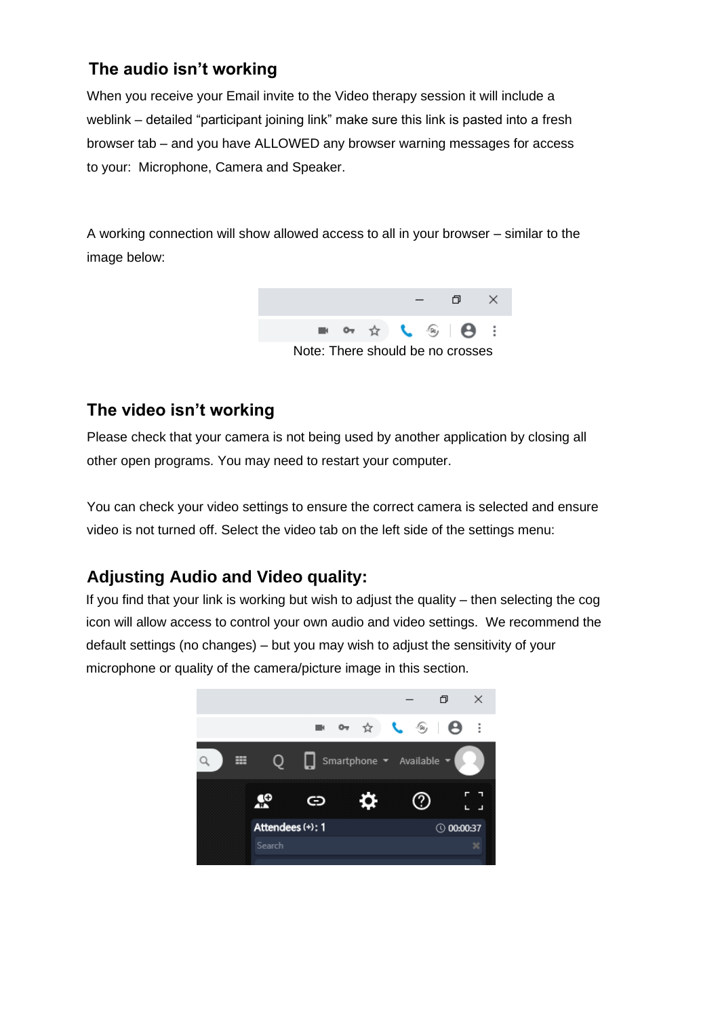# **The audio isn't working**

When you receive your Email invite to the Video therapy session it will include a weblink – detailed "participant joining link" make sure this link is pasted into a fresh browser tab – and you have ALLOWED any browser warning messages for access to your: Microphone, Camera and Speaker.

A working connection will show allowed access to all in your browser – similar to the image below:



## **The video isn't working**

Please check that your camera is not being used by another application by closing all other open programs. You may need to restart your computer.

You can check your video settings to ensure the correct camera is selected and ensure video is not turned off. Select the video tab on the left side of the settings menu:

# **Adjusting Audio and Video quality:**

If you find that your link is working but wish to adjust the quality – then selecting the cog icon will allow access to control your own audio and video settings. We recommend the default settings (no changes) – but you may wish to adjust the sensitivity of your microphone or quality of the camera/picture image in this section.